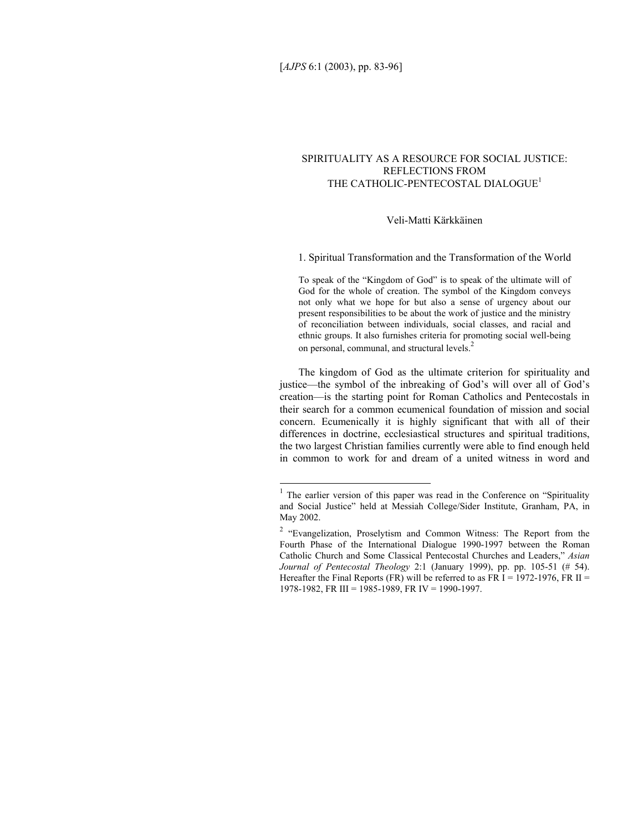# SPIRITUALITY AS A RESOURCE FOR SOCIAL JUSTICE: REFLECTIONS FROM THE CATHOLIC-PENTECOSTAL DIALOGUE<sup>1</sup>

# Veli-Matti Kärkkäinen

1. Spiritual Transformation and the Transformation of the World

To speak of the "Kingdom of God" is to speak of the ultimate will of God for the whole of creation. The symbol of the Kingdom conveys not only what we hope for but also a sense of urgency about our present responsibilities to be about the work of justice and the ministry of reconciliation between individuals, social classes, and racial and ethnic groups. It also furnishes criteria for promoting social well-being on personal, communal, and structural levels.<sup>2</sup>

The kingdom of God as the ultimate criterion for spirituality and justice—the symbol of the inbreaking of God's will over all of God's creation—is the starting point for Roman Catholics and Pentecostals in their search for a common ecumenical foundation of mission and social concern. Ecumenically it is highly significant that with all of their differences in doctrine, ecclesiastical structures and spiritual traditions, the two largest Christian families currently were able to find enough held in common to work for and dream of a united witness in word and

<sup>&</sup>lt;sup>1</sup> The earlier version of this paper was read in the Conference on "Spirituality" and Social Justice" held at Messiah College/Sider Institute, Granham, PA, in May 2002.

<sup>&</sup>lt;sup>2</sup> "Evangelization, Proselytism and Common Witness: The Report from the Fourth Phase of the International Dialogue 1990-1997 between the Roman Catholic Church and Some Classical Pentecostal Churches and Leaders," *Asian Journal of Pentecostal Theology* 2:1 (January 1999), pp. pp. 105-51 (# 54). Hereafter the Final Reports (FR) will be referred to as FR  $I = 1972-1976$ , FR II = 1978-1982, FR III = 1985-1989, FR IV = 1990-1997.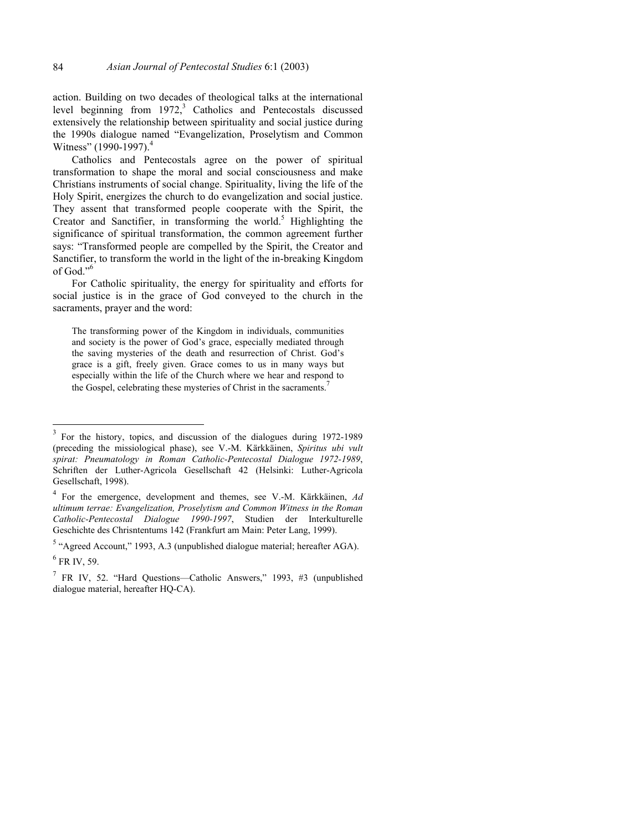action. Building on two decades of theological talks at the international level beginning from  $1972$ ,<sup>3</sup> Catholics and Pentecostals discussed extensively the relationship between spirituality and social justice during the 1990s dialogue named "Evangelization, Proselytism and Common Witness"  $(1990-1997)^4$ 

Catholics and Pentecostals agree on the power of spiritual transformation to shape the moral and social consciousness and make Christians instruments of social change. Spirituality, living the life of the Holy Spirit, energizes the church to do evangelization and social justice. They assent that transformed people cooperate with the Spirit, the Creator and Sanctifier, in transforming the world.<sup>5</sup> Highlighting the significance of spiritual transformation, the common agreement further says: "Transformed people are compelled by the Spirit, the Creator and Sanctifier, to transform the world in the light of the in-breaking Kingdom of God."<sup>6</sup>

For Catholic spirituality, the energy for spirituality and efforts for social justice is in the grace of God conveyed to the church in the sacraments, prayer and the word:

The transforming power of the Kingdom in individuals, communities and society is the power of God's grace, especially mediated through the saving mysteries of the death and resurrection of Christ. God's grace is a gift, freely given. Grace comes to us in many ways but especially within the life of the Church where we hear and respond to the Gospel, celebrating these mysteries of Christ in the sacraments.<sup>7</sup>

<sup>3</sup> For the history, topics, and discussion of the dialogues during 1972-1989 (preceding the missiological phase), see V.-M. Kärkkäinen, *Spiritus ubi vult spirat: Pneumatology in Roman Catholic-Pentecostal Dialogue 1972-1989*, Schriften der Luther-Agricola Gesellschaft 42 (Helsinki: Luther-Agricola Gesellschaft, 1998).

<sup>4</sup> For the emergence, development and themes, see V.-M. Kärkkäinen, *Ad ultimum terrae: Evangelization, Proselytism and Common Witness in the Roman Catholic-Pentecostal Dialogue 1990-1997*, Studien der Interkulturelle Geschichte des Chrisntentums 142 (Frankfurt am Main: Peter Lang, 1999).

 $<sup>5</sup>$  "Agreed Account," 1993, A.3 (unpublished dialogue material; hereafter AGA).</sup>

 $<sup>6</sup>$  FR IV, 59.</sup>

<sup>&</sup>lt;sup>7</sup> FR IV, 52. "Hard Questions—Catholic Answers," 1993, #3 (unpublished dialogue material, hereafter HQ-CA).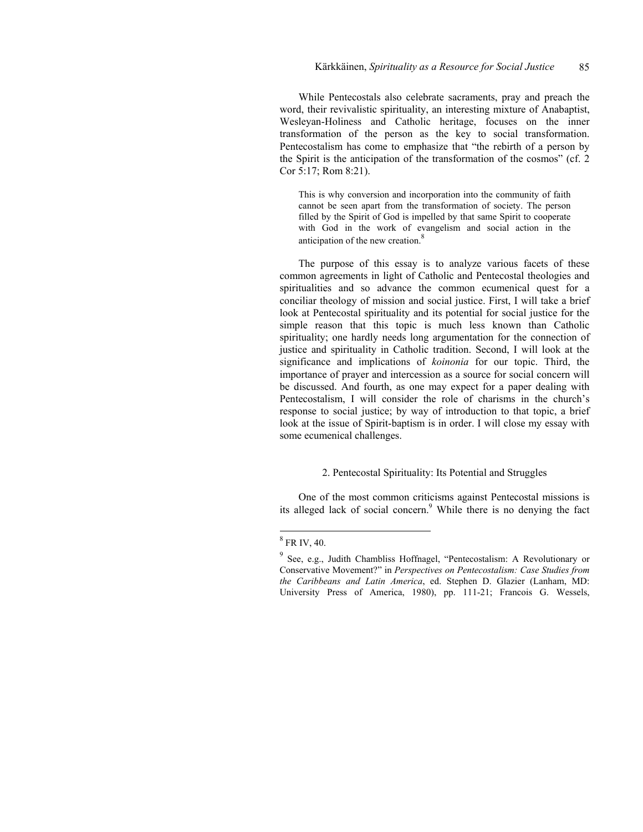While Pentecostals also celebrate sacraments, pray and preach the word, their revivalistic spirituality, an interesting mixture of Anabaptist, Wesleyan-Holiness and Catholic heritage, focuses on the inner transformation of the person as the key to social transformation. Pentecostalism has come to emphasize that "the rebirth of a person by the Spirit is the anticipation of the transformation of the cosmos" (cf. 2 Cor 5:17; Rom 8:21).

This is why conversion and incorporation into the community of faith cannot be seen apart from the transformation of society. The person filled by the Spirit of God is impelled by that same Spirit to cooperate with God in the work of evangelism and social action in the anticipation of the new creation.<sup>8</sup>

The purpose of this essay is to analyze various facets of these common agreements in light of Catholic and Pentecostal theologies and spiritualities and so advance the common ecumenical quest for a conciliar theology of mission and social justice. First, I will take a brief look at Pentecostal spirituality and its potential for social justice for the simple reason that this topic is much less known than Catholic spirituality; one hardly needs long argumentation for the connection of justice and spirituality in Catholic tradition. Second, I will look at the significance and implications of *koinonia* for our topic. Third, the importance of prayer and intercession as a source for social concern will be discussed. And fourth, as one may expect for a paper dealing with Pentecostalism, I will consider the role of charisms in the church's response to social justice; by way of introduction to that topic, a brief look at the issue of Spirit-baptism is in order. I will close my essay with some ecumenical challenges.

#### 2. Pentecostal Spirituality: Its Potential and Struggles

One of the most common criticisms against Pentecostal missions is its alleged lack of social concern.<sup>9</sup> While there is no denying the fact

 $8$  FR IV, 40.

<sup>&</sup>lt;sup>9</sup> See, e.g., Judith Chambliss Hoffnagel, "Pentecostalism: A Revolutionary or Conservative Movement?" in *Perspectives on Pentecostalism: Case Studies from the Caribbeans and Latin America*, ed. Stephen D. Glazier (Lanham, MD: University Press of America, 1980), pp. 111-21; Francois G. Wessels,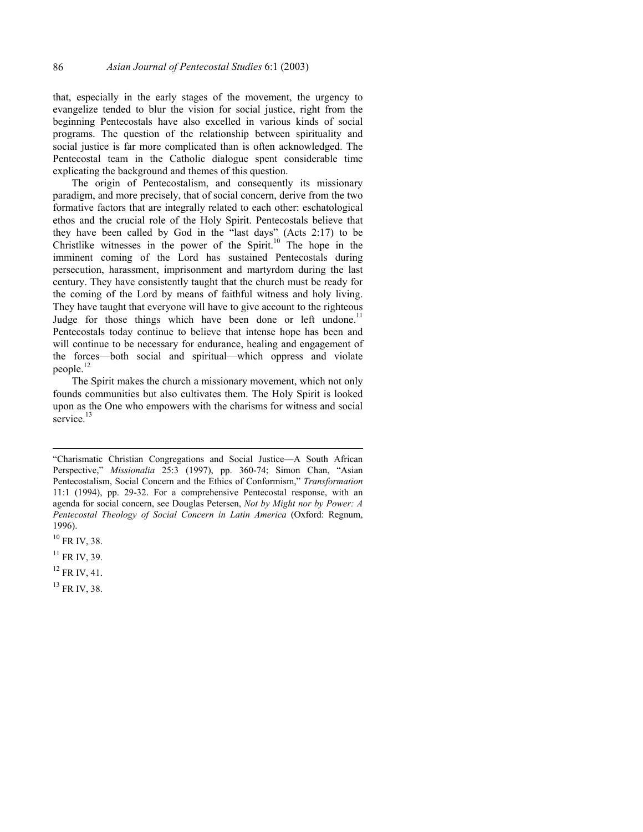that, especially in the early stages of the movement, the urgency to evangelize tended to blur the vision for social justice, right from the beginning Pentecostals have also excelled in various kinds of social programs. The question of the relationship between spirituality and social justice is far more complicated than is often acknowledged. The Pentecostal team in the Catholic dialogue spent considerable time explicating the background and themes of this question.

The origin of Pentecostalism, and consequently its missionary paradigm, and more precisely, that of social concern, derive from the two formative factors that are integrally related to each other: eschatological ethos and the crucial role of the Holy Spirit. Pentecostals believe that they have been called by God in the "last days" (Acts 2:17) to be Christlike witnesses in the power of the Spirit.10 The hope in the imminent coming of the Lord has sustained Pentecostals during persecution, harassment, imprisonment and martyrdom during the last century. They have consistently taught that the church must be ready for the coming of the Lord by means of faithful witness and holy living. They have taught that everyone will have to give account to the righteous Judge for those things which have been done or left undone.<sup>11</sup> Pentecostals today continue to believe that intense hope has been and will continue to be necessary for endurance, healing and engagement of the forces—both social and spiritual—which oppress and violate people.<sup>12</sup>

The Spirit makes the church a missionary movement, which not only founds communities but also cultivates them. The Holy Spirit is looked upon as the One who empowers with the charisms for witness and social service.<sup>13</sup>

<sup>&</sup>quot;Charismatic Christian Congregations and Social Justice—A South African Perspective," *Missionalia* 25:3 (1997), pp. 360-74; Simon Chan, "Asian Pentecostalism, Social Concern and the Ethics of Conformism," *Transformation*  11:1 (1994), pp. 29-32. For a comprehensive Pentecostal response, with an agenda for social concern, see Douglas Petersen, *Not by Might nor by Power: A Pentecostal Theology of Social Concern in Latin America* (Oxford: Regnum, 1996).

 $10$  FR IV, 38.

 $11$  FR IV, 39.

 $12$  FR IV, 41.

<sup>13</sup> FR IV, 38.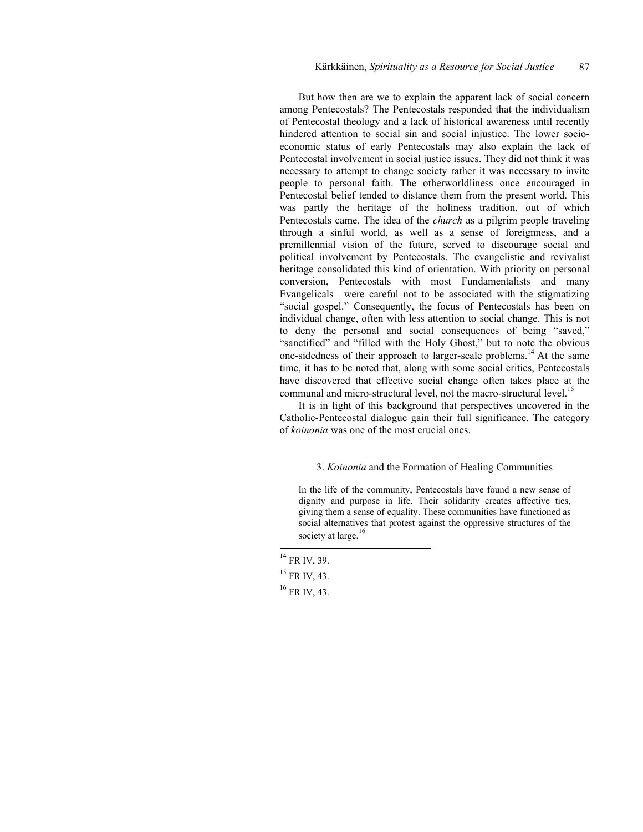But how then are we to explain the apparent lack of social concern among Pentecostals? The Pentecostals responded that the individualism of Pentecostal theology and a lack of historical awareness until recently hindered attention to social sin and social injustice. The lower socioeconomic status of early Pentecostals may also explain the lack of Pentecostal involvement in social justice issues. They did not think it was necessary to attempt to change society rather it was necessary to invite people to personal faith. The otherworldliness once encouraged in Pentecostal belief tended to distance them from the present world. This was partly the heritage of the holiness tradition, out of which Pentecostals came. The idea of the *church* as a pilgrim people traveling through a sinful world, as well as a sense of foreignness, and a premillennial vision of the future, served to discourage social and political involvement by Pentecostals. The evangelistic and revivalist heritage consolidated this kind of orientation. With priority on personal conversion, Pentecostals—with most Fundamentalists and many Evangelicals—were careful not to be associated with the stigmatizing "social gospel." Consequently, the focus of Pentecostals has been on individual change, often with less attention to social change. This is not to deny the personal and social consequences of being "saved," "sanctified" and "filled with the Holy Ghost," but to note the obvious one-sidedness of their approach to larger-scale problems.14 At the same time, it has to be noted that, along with some social critics, Pentecostals have discovered that effective social change often takes place at the communal and micro-structural level, not the macro-structural level.<sup>15</sup>

It is in light of this background that perspectives uncovered in the Catholic-Pentecostal dialogue gain their full significance. The category of *koinonia* was one of the most crucial ones.

# 3. *Koinonia* and the Formation of Healing Communities

In the life of the community, Pentecostals have found a new sense of dignity and purpose in life. Their solidarity creates affective ties, giving them a sense of equality. These communities have functioned as social alternatives that protest against the oppressive structures of the society at large.<sup>16</sup>

 $^{14}$  FR IV, 39.

 $15$  FR IV, 43.

 $16$  FR IV, 43.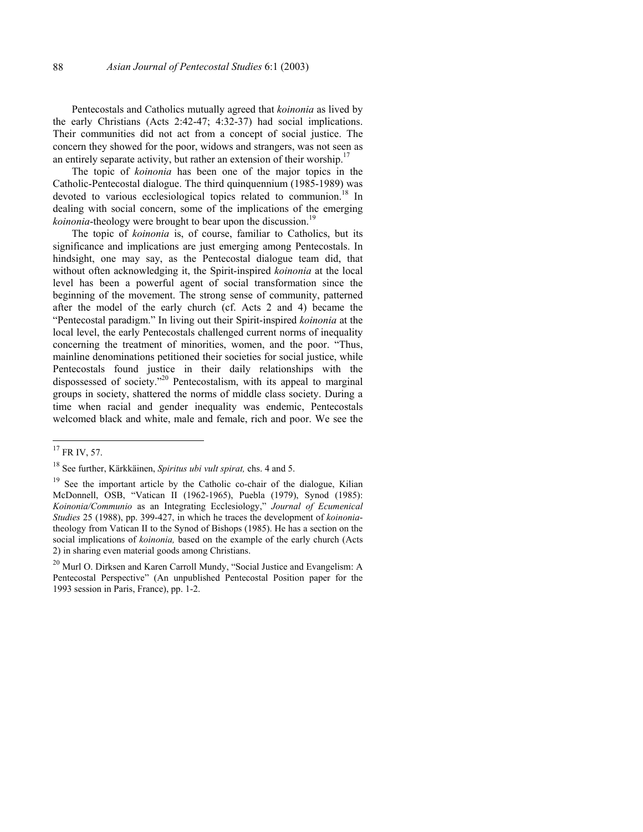Pentecostals and Catholics mutually agreed that *koinonia* as lived by the early Christians (Acts 2:42-47; 4:32-37) had social implications. Their communities did not act from a concept of social justice. The concern they showed for the poor, widows and strangers, was not seen as an entirely separate activity, but rather an extension of their worship.<sup>17</sup>

The topic of *koinonia* has been one of the major topics in the Catholic-Pentecostal dialogue. The third quinquennium (1985-1989) was devoted to various ecclesiological topics related to communion.<sup>18</sup> In dealing with social concern, some of the implications of the emerging *koinonia*-theology were brought to bear upon the discussion.<sup>19</sup>

The topic of *koinonia* is, of course, familiar to Catholics, but its significance and implications are just emerging among Pentecostals. In hindsight, one may say, as the Pentecostal dialogue team did, that without often acknowledging it, the Spirit-inspired *koinonia* at the local level has been a powerful agent of social transformation since the beginning of the movement. The strong sense of community, patterned after the model of the early church (cf. Acts 2 and 4) became the "Pentecostal paradigm." In living out their Spirit-inspired *koinonia* at the local level, the early Pentecostals challenged current norms of inequality concerning the treatment of minorities, women, and the poor. "Thus, mainline denominations petitioned their societies for social justice, while Pentecostals found justice in their daily relationships with the dispossessed of society."20 Pentecostalism, with its appeal to marginal groups in society, shattered the norms of middle class society. During a time when racial and gender inequality was endemic, Pentecostals welcomed black and white, male and female, rich and poor. We see the

 $17$  FR IV, 57.

<sup>18</sup> See further, Kärkkäinen, *Spiritus ubi vult spirat,* chs. 4 and 5.

<sup>&</sup>lt;sup>19</sup> See the important article by the Catholic co-chair of the dialogue, Kilian McDonnell, OSB, "Vatican II (1962-1965), Puebla (1979), Synod (1985): *Koinonia/Communio* as an Integrating Ecclesiology," *Journal of Ecumenical Studies* 25 (1988), pp. 399-427, in which he traces the development of *koinonia*theology from Vatican II to the Synod of Bishops (1985). He has a section on the social implications of *koinonia,* based on the example of the early church (Acts 2) in sharing even material goods among Christians.

<sup>&</sup>lt;sup>20</sup> Murl O. Dirksen and Karen Carroll Mundy, "Social Justice and Evangelism: A Pentecostal Perspective" (An unpublished Pentecostal Position paper for the 1993 session in Paris, France), pp. 1-2.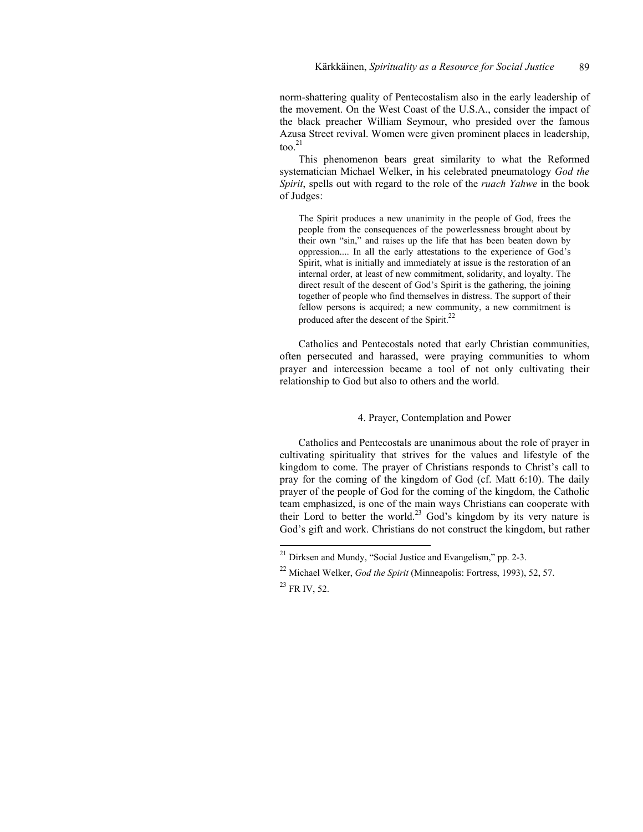norm-shattering quality of Pentecostalism also in the early leadership of the movement. On the West Coast of the U.S.A., consider the impact of the black preacher William Seymour, who presided over the famous Azusa Street revival. Women were given prominent places in leadership,  $\text{too.}^{21}$ 

This phenomenon bears great similarity to what the Reformed systematician Michael Welker, in his celebrated pneumatology *God the Spirit*, spells out with regard to the role of the *ruach Yahwe* in the book of Judges:

The Spirit produces a new unanimity in the people of God, frees the people from the consequences of the powerlessness brought about by their own "sin," and raises up the life that has been beaten down by oppression.... In all the early attestations to the experience of God's Spirit, what is initially and immediately at issue is the restoration of an internal order, at least of new commitment, solidarity, and loyalty. The direct result of the descent of God's Spirit is the gathering, the joining together of people who find themselves in distress. The support of their fellow persons is acquired; a new community, a new commitment is produced after the descent of the Spirit.<sup>22</sup>

Catholics and Pentecostals noted that early Christian communities, often persecuted and harassed, were praying communities to whom prayer and intercession became a tool of not only cultivating their relationship to God but also to others and the world.

#### 4. Prayer, Contemplation and Power

Catholics and Pentecostals are unanimous about the role of prayer in cultivating spirituality that strives for the values and lifestyle of the kingdom to come. The prayer of Christians responds to Christ's call to pray for the coming of the kingdom of God (cf. Matt 6:10). The daily prayer of the people of God for the coming of the kingdom, the Catholic team emphasized, is one of the main ways Christians can cooperate with their Lord to better the world.<sup>23</sup> God's kingdom by its very nature is God's gift and work. Christians do not construct the kingdom, but rather

 $^{21}$  Dirksen and Mundy, "Social Justice and Evangelism," pp. 2-3.

<sup>22</sup> Michael Welker, *God the Spirit* (Minneapolis: Fortress, 1993), 52, 57.

<sup>23</sup> FR IV, 52.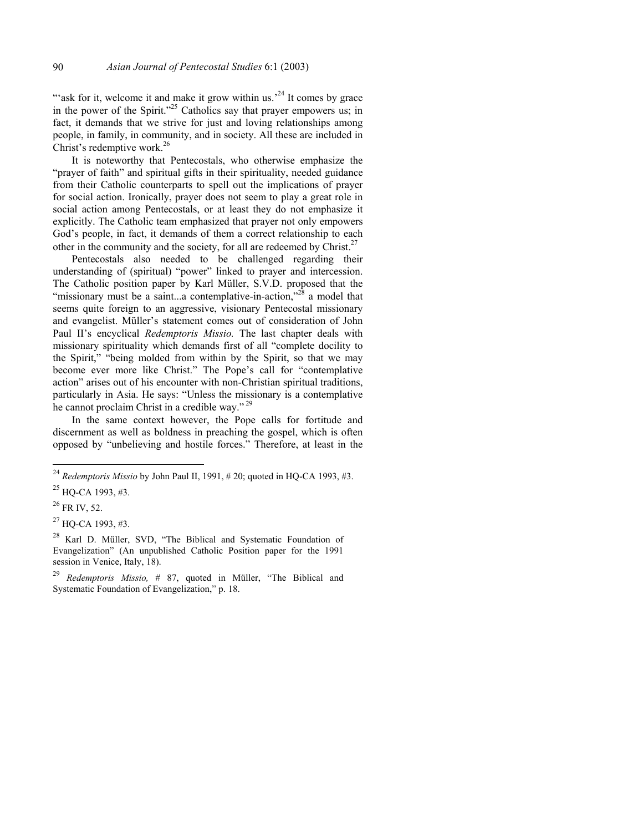"ask for it, welcome it and make it grow within us.<sup>24</sup> It comes by grace in the power of the Spirit."<sup>25</sup> Catholics say that prayer empowers us; in fact, it demands that we strive for just and loving relationships among people, in family, in community, and in society. All these are included in Christ's redemptive work.<sup>26</sup>

It is noteworthy that Pentecostals, who otherwise emphasize the "prayer of faith" and spiritual gifts in their spirituality, needed guidance from their Catholic counterparts to spell out the implications of prayer for social action. Ironically, prayer does not seem to play a great role in social action among Pentecostals, or at least they do not emphasize it explicitly. The Catholic team emphasized that prayer not only empowers God's people, in fact, it demands of them a correct relationship to each other in the community and the society, for all are redeemed by Christ.<sup>27</sup>

Pentecostals also needed to be challenged regarding their understanding of (spiritual) "power" linked to prayer and intercession. The Catholic position paper by Karl Müller, S.V.D. proposed that the "missionary must be a saint...a contemplative-in-action,"<sup>28</sup> a model that seems quite foreign to an aggressive, visionary Pentecostal missionary and evangelist. Müller's statement comes out of consideration of John Paul II's encyclical *Redemptoris Missio.* The last chapter deals with missionary spirituality which demands first of all "complete docility to the Spirit," "being molded from within by the Spirit, so that we may become ever more like Christ." The Pope's call for "contemplative action" arises out of his encounter with non-Christian spiritual traditions, particularly in Asia. He says: "Unless the missionary is a contemplative he cannot proclaim Christ in a credible way." 29

In the same context however, the Pope calls for fortitude and discernment as well as boldness in preaching the gospel, which is often opposed by "unbelieving and hostile forces." Therefore, at least in the

<sup>24</sup> *Redemptoris Missio* by John Paul II, 1991, # 20; quoted in HQ-CA 1993, #3.

<sup>25</sup> HQ-CA 1993, #3.

<sup>26</sup> FR IV, 52.

 $^{27}$  HO-CA 1993, #3.

<sup>28</sup> Karl D. Müller, SVD, "The Biblical and Systematic Foundation of Evangelization" (An unpublished Catholic Position paper for the 1991 session in Venice, Italy, 18).

<sup>29</sup> *Redemptoris Missio,* # 87, quoted in Müller, "The Biblical and Systematic Foundation of Evangelization," p. 18.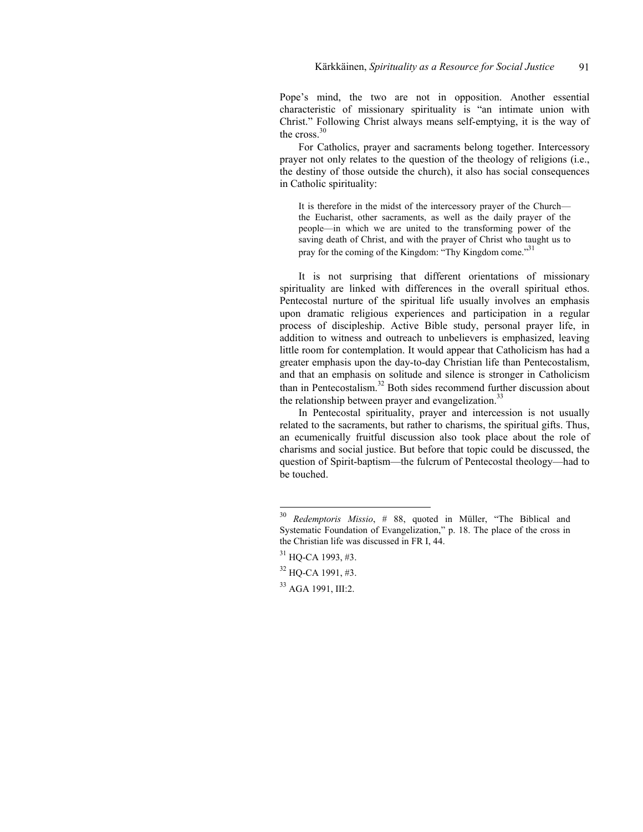Pope's mind, the two are not in opposition. Another essential characteristic of missionary spirituality is "an intimate union with Christ." Following Christ always means self-emptying, it is the way of the  $\csc^{30}$ 

For Catholics, prayer and sacraments belong together. Intercessory prayer not only relates to the question of the theology of religions (i.e., the destiny of those outside the church), it also has social consequences in Catholic spirituality:

It is therefore in the midst of the intercessory prayer of the Church the Eucharist, other sacraments, as well as the daily prayer of the people—in which we are united to the transforming power of the saving death of Christ, and with the prayer of Christ who taught us to pray for the coming of the Kingdom: "Thy Kingdom come."<sup>31</sup>

It is not surprising that different orientations of missionary spirituality are linked with differences in the overall spiritual ethos. Pentecostal nurture of the spiritual life usually involves an emphasis upon dramatic religious experiences and participation in a regular process of discipleship. Active Bible study, personal prayer life, in addition to witness and outreach to unbelievers is emphasized, leaving little room for contemplation. It would appear that Catholicism has had a greater emphasis upon the day-to-day Christian life than Pentecostalism, and that an emphasis on solitude and silence is stronger in Catholicism than in Pentecostalism.<sup>32</sup> Both sides recommend further discussion about the relationship between prayer and evangelization.<sup>33</sup>

In Pentecostal spirituality, prayer and intercession is not usually related to the sacraments, but rather to charisms, the spiritual gifts. Thus, an ecumenically fruitful discussion also took place about the role of charisms and social justice. But before that topic could be discussed, the question of Spirit-baptism—the fulcrum of Pentecostal theology—had to be touched.

<sup>30</sup> <sup>30</sup> *Redemptoris Missio*, # 88, quoted in Müller, "The Biblical and Systematic Foundation of Evangelization," p. 18. The place of the cross in the Christian life was discussed in FR I, 44.

 $31$  HO-CA 1993, #3.

<sup>32</sup> HQ-CA 1991, #3.

<sup>33</sup> AGA 1991, III:2.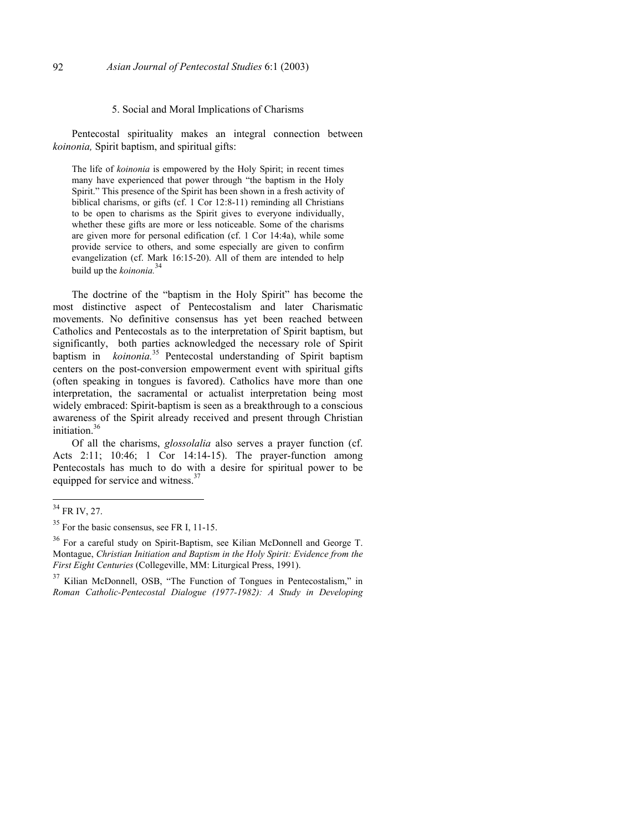#### 5. Social and Moral Implications of Charisms

Pentecostal spirituality makes an integral connection between *koinonia,* Spirit baptism, and spiritual gifts:

The life of *koinonia* is empowered by the Holy Spirit; in recent times many have experienced that power through "the baptism in the Holy Spirit." This presence of the Spirit has been shown in a fresh activity of biblical charisms, or gifts (cf. 1 Cor 12:8-11) reminding all Christians to be open to charisms as the Spirit gives to everyone individually, whether these gifts are more or less noticeable. Some of the charisms are given more for personal edification (cf. 1 Cor 14:4a), while some provide service to others, and some especially are given to confirm evangelization (cf. Mark 16:15-20). All of them are intended to help build up the *koinonia.*<sup>34</sup>

The doctrine of the "baptism in the Holy Spirit" has become the most distinctive aspect of Pentecostalism and later Charismatic movements. No definitive consensus has yet been reached between Catholics and Pentecostals as to the interpretation of Spirit baptism, but significantly, both parties acknowledged the necessary role of Spirit baptism in *koinonia.*35 Pentecostal understanding of Spirit baptism centers on the post-conversion empowerment event with spiritual gifts (often speaking in tongues is favored). Catholics have more than one interpretation, the sacramental or actualist interpretation being most widely embraced: Spirit-baptism is seen as a breakthrough to a conscious awareness of the Spirit already received and present through Christian initiation  $36$ 

Of all the charisms, *glossolalia* also serves a prayer function (cf. Acts 2:11; 10:46; 1 Cor 14:14-15). The prayer-function among Pentecostals has much to do with a desire for spiritual power to be equipped for service and witness.<sup>37</sup>

 $34$  FR IV, 27.

<sup>&</sup>lt;sup>35</sup> For the basic consensus, see FR I, 11-15.

<sup>36</sup> For a careful study on Spirit-Baptism, see Kilian McDonnell and George T. Montague, *Christian Initiation and Baptism in the Holy Spirit: Evidence from the First Eight Centuries* (Collegeville, MM: Liturgical Press, 1991).

 $37$  Kilian McDonnell, OSB, "The Function of Tongues in Pentecostalism." in *Roman Catholic-Pentecostal Dialogue (1977-1982): A Study in Developing*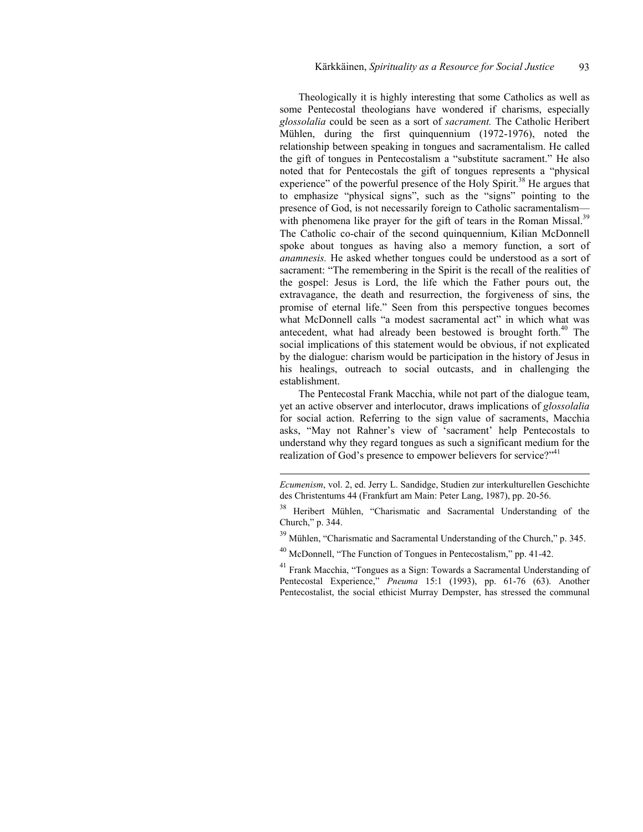Theologically it is highly interesting that some Catholics as well as some Pentecostal theologians have wondered if charisms, especially *glossolalia* could be seen as a sort of *sacrament.* The Catholic Heribert Mühlen, during the first quinquennium (1972-1976), noted the relationship between speaking in tongues and sacramentalism. He called the gift of tongues in Pentecostalism a "substitute sacrament." He also noted that for Pentecostals the gift of tongues represents a "physical experience" of the powerful presence of the Holy Spirit.<sup>38</sup> He argues that to emphasize "physical signs", such as the "signs" pointing to the presence of God, is not necessarily foreign to Catholic sacramentalism with phenomena like prayer for the gift of tears in the Roman Missal.<sup>39</sup> The Catholic co-chair of the second quinquennium, Kilian McDonnell spoke about tongues as having also a memory function, a sort of *anamnesis.* He asked whether tongues could be understood as a sort of sacrament: "The remembering in the Spirit is the recall of the realities of the gospel: Jesus is Lord, the life which the Father pours out, the extravagance, the death and resurrection, the forgiveness of sins, the promise of eternal life." Seen from this perspective tongues becomes what McDonnell calls "a modest sacramental act" in which what was antecedent, what had already been bestowed is brought forth.<sup>40</sup> The social implications of this statement would be obvious, if not explicated by the dialogue: charism would be participation in the history of Jesus in his healings, outreach to social outcasts, and in challenging the establishment.

The Pentecostal Frank Macchia, while not part of the dialogue team, yet an active observer and interlocutor, draws implications of *glossolalia* for social action. Referring to the sign value of sacraments, Macchia asks, "May not Rahner's view of 'sacrament' help Pentecostals to understand why they regard tongues as such a significant medium for the realization of God's presence to empower believers for service?"<sup>41</sup>

<sup>39</sup> Mühlen, "Charismatic and Sacramental Understanding of the Church," p. 345.

l

41 Frank Macchia, "Tongues as a Sign: Towards a Sacramental Understanding of Pentecostal Experience," *Pneuma* 15:1 (1993), pp. 61-76 (63). Another Pentecostalist, the social ethicist Murray Dempster, has stressed the communal

*Ecumenism*, vol. 2, ed. Jerry L. Sandidge, Studien zur interkulturellen Geschichte des Christentums 44 (Frankfurt am Main: Peter Lang, 1987), pp. 20-56.

<sup>38</sup> Heribert Mühlen, "Charismatic and Sacramental Understanding of the Church," p. 344.

<sup>&</sup>lt;sup>40</sup> McDonnell, "The Function of Tongues in Pentecostalism," pp. 41-42.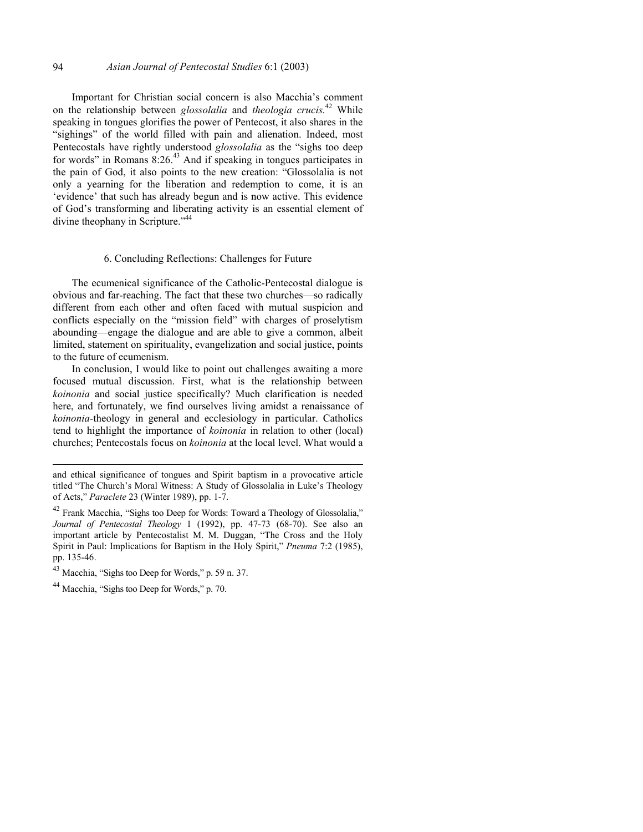#### 94 *Asian Journal of Pentecostal Studies* 6:1 (2003)

Important for Christian social concern is also Macchia's comment on the relationship between *glossolalia* and *theologia crucis.*42 While speaking in tongues glorifies the power of Pentecost, it also shares in the "sighings" of the world filled with pain and alienation. Indeed, most Pentecostals have rightly understood *glossolalia* as the "sighs too deep for words" in Romans  $8:26<sup>43</sup>$  And if speaking in tongues participates in the pain of God, it also points to the new creation: "Glossolalia is not only a yearning for the liberation and redemption to come, it is an 'evidence' that such has already begun and is now active. This evidence of God's transforming and liberating activity is an essential element of divine theophany in Scripture."<sup>44</sup>

#### 6. Concluding Reflections: Challenges for Future

The ecumenical significance of the Catholic-Pentecostal dialogue is obvious and far-reaching. The fact that these two churches—so radically different from each other and often faced with mutual suspicion and conflicts especially on the "mission field" with charges of proselytism abounding—engage the dialogue and are able to give a common, albeit limited, statement on spirituality, evangelization and social justice, points to the future of ecumenism.

In conclusion, I would like to point out challenges awaiting a more focused mutual discussion. First, what is the relationship between *koinonia* and social justice specifically? Much clarification is needed here, and fortunately, we find ourselves living amidst a renaissance of *koinonia*-theology in general and ecclesiology in particular. Catholics tend to highlight the importance of *koinonia* in relation to other (local) churches; Pentecostals focus on *koinonia* at the local level. What would a

and ethical significance of tongues and Spirit baptism in a provocative article titled "The Church's Moral Witness: A Study of Glossolalia in Luke's Theology of Acts," *Paraclete* 23 (Winter 1989), pp. 1-7.

<sup>&</sup>lt;sup>42</sup> Frank Macchia, "Sighs too Deep for Words: Toward a Theology of Glossolalia," *Journal of Pentecostal Theology* 1 (1992), pp. 47-73 (68-70). See also an important article by Pentecostalist M. M. Duggan, "The Cross and the Holy Spirit in Paul: Implications for Baptism in the Holy Spirit," *Pneuma* 7:2 (1985), pp. 135-46.

<sup>43</sup> Macchia, "Sighs too Deep for Words," p. 59 n. 37.

<sup>44</sup> Macchia, "Sighs too Deep for Words," p. 70.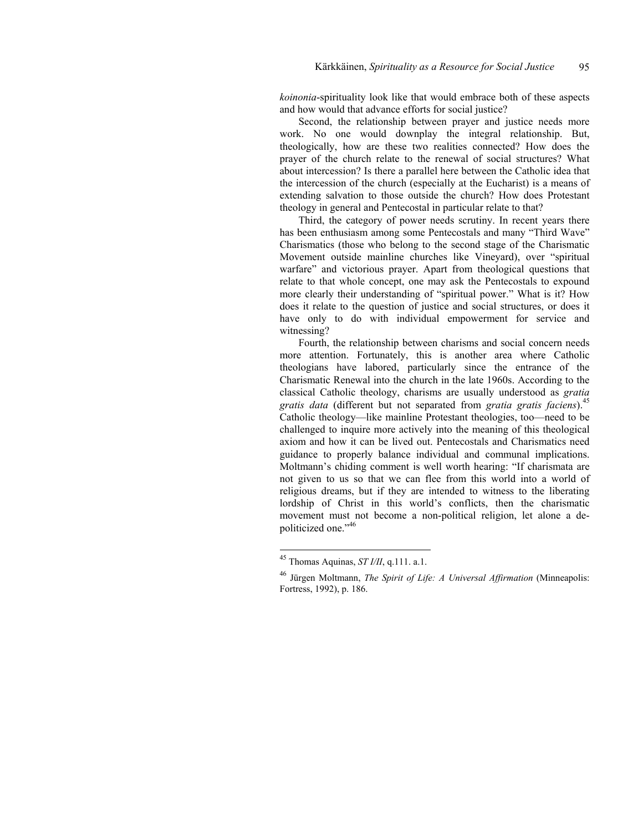*koinonia*-spirituality look like that would embrace both of these aspects and how would that advance efforts for social justice?

Second, the relationship between prayer and justice needs more work. No one would downplay the integral relationship. But, theologically, how are these two realities connected? How does the prayer of the church relate to the renewal of social structures? What about intercession? Is there a parallel here between the Catholic idea that the intercession of the church (especially at the Eucharist) is a means of extending salvation to those outside the church? How does Protestant theology in general and Pentecostal in particular relate to that?

Third, the category of power needs scrutiny. In recent years there has been enthusiasm among some Pentecostals and many "Third Wave" Charismatics (those who belong to the second stage of the Charismatic Movement outside mainline churches like Vineyard), over "spiritual warfare" and victorious prayer. Apart from theological questions that relate to that whole concept, one may ask the Pentecostals to expound more clearly their understanding of "spiritual power." What is it? How does it relate to the question of justice and social structures, or does it have only to do with individual empowerment for service and witnessing?

Fourth, the relationship between charisms and social concern needs more attention. Fortunately, this is another area where Catholic theologians have labored, particularly since the entrance of the Charismatic Renewal into the church in the late 1960s. According to the classical Catholic theology, charisms are usually understood as *gratia gratis data* (different but not separated from *gratia gratis faciens*).<sup>45</sup> Catholic theology—like mainline Protestant theologies, too—need to be challenged to inquire more actively into the meaning of this theological axiom and how it can be lived out. Pentecostals and Charismatics need guidance to properly balance individual and communal implications. Moltmann's chiding comment is well worth hearing: "If charismata are not given to us so that we can flee from this world into a world of religious dreams, but if they are intended to witness to the liberating lordship of Christ in this world's conflicts, then the charismatic movement must not become a non-political religion, let alone a depoliticized one."<sup>46</sup>

<sup>45</sup> Thomas Aquinas, *ST I/II*, q.111. a.1.

<sup>46</sup> Jürgen Moltmann, *The Spirit of Life: A Universal Affirmation* (Minneapolis: Fortress, 1992), p. 186.